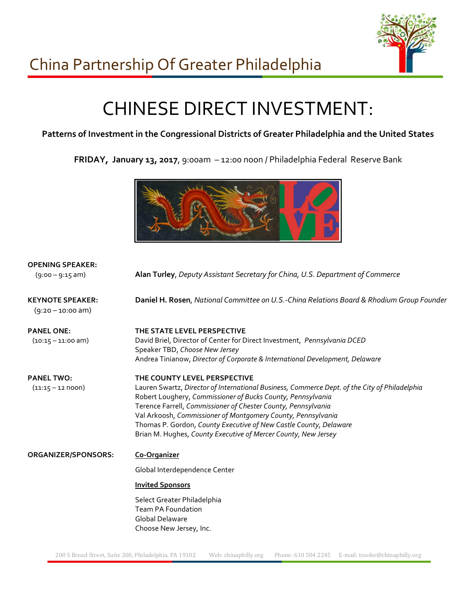

## China Partnership Of Greater Philadelphia

# CHINESE DIRECT INVESTMENT:

#### **Patterns of Investment in the Congressional Districts of Greater Philadelphia and the United States**

**FRIDAY, January 13, 2017**, 9:00am – 12:00 noon / Philadelphia Federal Reserve Bank



| <b>OPENING SPEAKER:</b><br>$(9:00 - 9:15 \text{ am})$ | Alan Turley, Deputy Assistant Secretary for China, U.S. Department of Commerce                                                                                                                                                                                                                                                                                                                                                                                       |
|-------------------------------------------------------|----------------------------------------------------------------------------------------------------------------------------------------------------------------------------------------------------------------------------------------------------------------------------------------------------------------------------------------------------------------------------------------------------------------------------------------------------------------------|
| <b>KEYNOTE SPEAKER:</b><br>$(9:20 - 10:00$ am)        | Daniel H. Rosen, National Committee on U.S.-China Relations Board & Rhodium Group Founder                                                                                                                                                                                                                                                                                                                                                                            |
| <b>PANEL ONE:</b><br>$(10:15 - 11:00 \text{ am})$     | THE STATE LEVEL PERSPECTIVE<br>David Briel, Director of Center for Direct Investment, Pennsylvania DCED<br>Speaker TBD, Choose New Jersey<br>Andrea Tinianow, Director of Corporate & International Development, Delaware                                                                                                                                                                                                                                            |
| <b>PANEL TWO:</b><br>$(11:15 - 12 noon)$              | THE COUNTY LEVEL PERSPECTIVE<br>Lauren Swartz, Director of International Business, Commerce Dept. of the City of Philadelphia<br>Robert Loughery, Commissioner of Bucks County, Pennsylvania<br>Terence Farrell, Commissioner of Chester County, Pennsylvania<br>Val Arkoosh, Commissioner of Montgomery County, Pennsylvania<br>Thomas P. Gordon, County Executive of New Castle County, Delaware<br>Brian M. Hughes, County Executive of Mercer County, New Jersey |
| ORGANIZER/SPONSORS:                                   | Co-Organizer<br>Global Interdependence Center<br><b>Invited Sponsors</b><br>Select Greater Philadelphia<br><b>Team PA Foundation</b><br>Global Delaware<br>Choose New Jersey, Inc.                                                                                                                                                                                                                                                                                   |